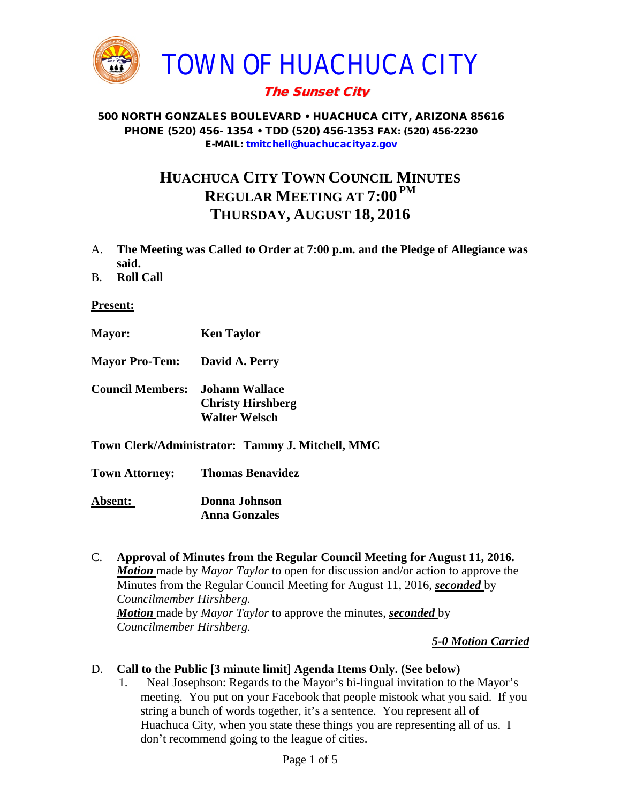

# The Sunset City

#### 500 NORTH GONZALES BOULEVARD • HUACHUCA CITY, ARIZONA 85616 PHONE (520) 456- 1354 • TDD (520) 456-1353 FAX: (520) 456-2230 E-MAIL: [tmitchell@huachucacityaz.gov](mailto:tmitchell@huachucacityaz.gov)

# **HUACHUCA CITY TOWN COUNCIL MINUTES REGULAR MEETING AT 7:00 PM THURSDAY, AUGUST 18, 2016**

- A. **The Meeting was Called to Order at 7:00 p.m. and the Pledge of Allegiance was said.**
- B. **Roll Call**

**Present:**

- **Mayor: Ken Taylor**
- **Mayor Pro-Tem: David A. Perry**
- **Council Members: Johann Wallace Christy Hirshberg Walter Welsch**
- **Town Clerk/Administrator: Tammy J. Mitchell, MMC**

**Town Attorney: Thomas Benavidez Absent: Donna Johnson Anna Gonzales**

C. **Approval of Minutes from the Regular Council Meeting for August 11, 2016.** *Motion* made by *Mayor Taylor* to open for discussion and/or action to approve the Minutes from the Regular Council Meeting for August 11, 2016, *seconded* by *Councilmember Hirshberg. Motion* made by *Mayor Taylor* to approve the minutes, *seconded* by *Councilmember Hirshberg.*

*5-0 Motion Carried*

- D. **Call to the Public [3 minute limit] Agenda Items Only. (See below)**
	- 1. Neal Josephson: Regards to the Mayor's bi-lingual invitation to the Mayor's meeting. You put on your Facebook that people mistook what you said. If you string a bunch of words together, it's a sentence. You represent all of Huachuca City, when you state these things you are representing all of us. I don't recommend going to the league of cities.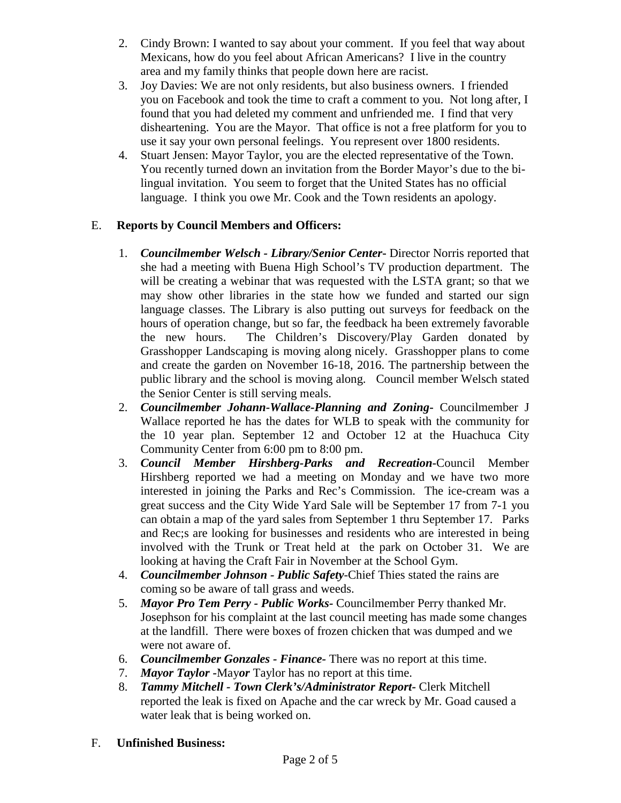- 2. Cindy Brown: I wanted to say about your comment. If you feel that way about Mexicans, how do you feel about African Americans? I live in the country area and my family thinks that people down here are racist.
- 3. Joy Davies: We are not only residents, but also business owners. I friended you on Facebook and took the time to craft a comment to you. Not long after, I found that you had deleted my comment and unfriended me. I find that very disheartening. You are the Mayor. That office is not a free platform for you to use it say your own personal feelings. You represent over 1800 residents.
- 4. Stuart Jensen: Mayor Taylor, you are the elected representative of the Town. You recently turned down an invitation from the Border Mayor's due to the bilingual invitation. You seem to forget that the United States has no official language. I think you owe Mr. Cook and the Town residents an apology.

## E. **Reports by Council Members and Officers:**

- 1. *Councilmember Welsch - Library/Senior Center***-** Director Norris reported that she had a meeting with Buena High School's TV production department. The will be creating a webinar that was requested with the LSTA grant; so that we may show other libraries in the state how we funded and started our sign language classes. The Library is also putting out surveys for feedback on the hours of operation change, but so far, the feedback ha been extremely favorable the new hours. The Children's Discovery/Play Garden donated by Grasshopper Landscaping is moving along nicely. Grasshopper plans to come and create the garden on November 16-18, 2016. The partnership between the public library and the school is moving along. Council member Welsch stated the Senior Center is still serving meals.
- 2. *Councilmember Johann-Wallace-Planning and Zoning***-** Councilmember J Wallace reported he has the dates for WLB to speak with the community for the 10 year plan. September 12 and October 12 at the Huachuca City Community Center from 6:00 pm to 8:00 pm.
- 3. *Council Member Hirshberg-Parks and Recreation***-**Council Member Hirshberg reported we had a meeting on Monday and we have two more interested in joining the Parks and Rec's Commission. The ice-cream was a great success and the City Wide Yard Sale will be September 17 from 7-1 you can obtain a map of the yard sales from September 1 thru September 17. Parks and Rec;s are looking for businesses and residents who are interested in being involved with the Trunk or Treat held at the park on October 31. We are looking at having the Craft Fair in November at the School Gym.
- 4. *Councilmember Johnson - Public Safety-*Chief Thies stated the rains are coming so be aware of tall grass and weeds.
- 5. *Mayor Pro Tem Perry - Public Works-* Councilmember Perry thanked Mr. Josephson for his complaint at the last council meeting has made some changes at the landfill. There were boxes of frozen chicken that was dumped and we were not aware of.
- 6. *Councilmember Gonzales - Finance-* There was no report at this time.
- 7. *Mayor Taylor -*May*or* Taylor has no report at this time.
- 8. *Tammy Mitchell - Town Clerk's/Administrator Report-* Clerk Mitchell reported the leak is fixed on Apache and the car wreck by Mr. Goad caused a water leak that is being worked on.
- F. **Unfinished Business:**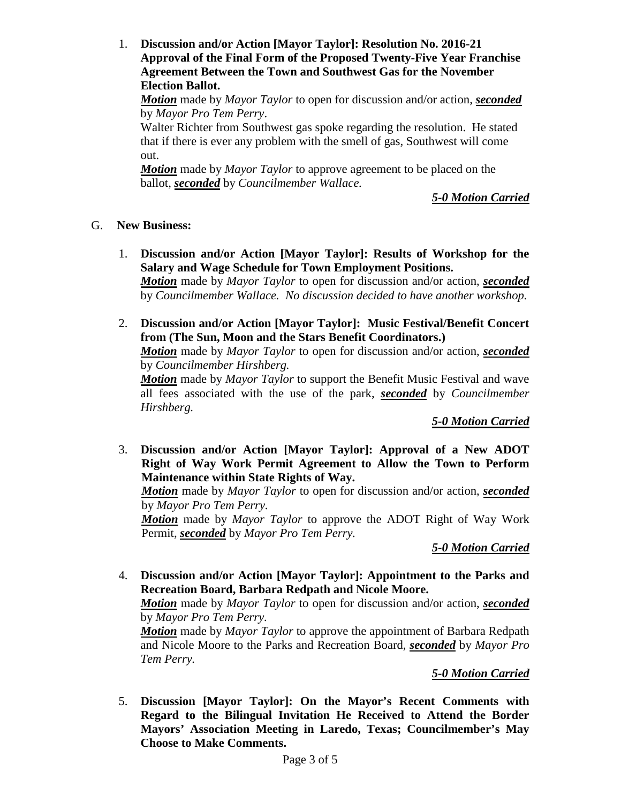1. **Discussion and/or Action [Mayor Taylor]: Resolution No. 2016-21 Approval of the Final Form of the Proposed Twenty-Five Year Franchise Agreement Between the Town and Southwest Gas for the November Election Ballot.** 

*Motion* made by *Mayor Taylor* to open for discussion and/or action, *seconded* by *Mayor Pro Tem Perry*.

Walter Richter from Southwest gas spoke regarding the resolution. He stated that if there is ever any problem with the smell of gas, Southwest will come out.

*Motion* made by *Mayor Taylor* to approve agreement to be placed on the ballot, *seconded* by *Councilmember Wallace.*

*5-0 Motion Carried*

### G. **New Business:**

1. **Discussion and/or Action [Mayor Taylor]: Results of Workshop for the Salary and Wage Schedule for Town Employment Positions.** 

*Motion* made by *Mayor Taylor* to open for discussion and/or action, *seconded* by *Councilmember Wallace. No discussion decided to have another workshop.*

2. **Discussion and/or Action [Mayor Taylor]: Music Festival/Benefit Concert from (The Sun, Moon and the Stars Benefit Coordinators.)**

*Motion* made by *Mayor Taylor* to open for discussion and/or action, *seconded* by *Councilmember Hirshberg.*

*Motion* made by *Mayor Taylor* to support the Benefit Music Festival and wave all fees associated with the use of the park, *seconded* by *Councilmember Hirshberg.*

*5-0 Motion Carried*

3. **Discussion and/or Action [Mayor Taylor]: Approval of a New ADOT Right of Way Work Permit Agreement to Allow the Town to Perform Maintenance within State Rights of Way.** 

*Motion* made by *Mayor Taylor* to open for discussion and/or action, *seconded* by *Mayor Pro Tem Perry.*

*Motion* made by *Mayor Taylor* to approve the ADOT Right of Way Work Permit, *seconded* by *Mayor Pro Tem Perry.*

*5-0 Motion Carried*

4. **Discussion and/or Action [Mayor Taylor]: Appointment to the Parks and Recreation Board, Barbara Redpath and Nicole Moore.** 

*Motion* made by *Mayor Taylor* to open for discussion and/or action, *seconded* by *Mayor Pro Tem Perry.*

*Motion* made by *Mayor Taylor* to approve the appointment of Barbara Redpath and Nicole Moore to the Parks and Recreation Board, *seconded* by *Mayor Pro Tem Perry.*

*5-0 Motion Carried*

5. **Discussion [Mayor Taylor]: On the Mayor's Recent Comments with Regard to the Bilingual Invitation He Received to Attend the Border Mayors' Association Meeting in Laredo, Texas; Councilmember's May Choose to Make Comments.**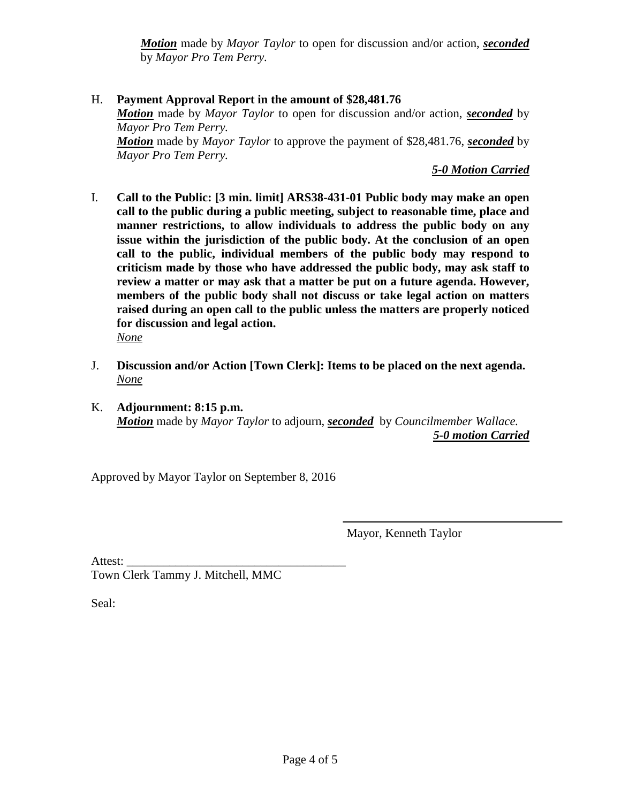*Motion* made by *Mayor Taylor* to open for discussion and/or action, *seconded* by *Mayor Pro Tem Perry.*

H. **Payment Approval Report in the amount of \$28,481.76** *Motion* made by *Mayor Taylor* to open for discussion and/or action, *seconded* by *Mayor Pro Tem Perry. Motion* made by *Mayor Taylor* to approve the payment of \$28,481.76, *seconded* by *Mayor Pro Tem Perry.*

*5-0 Motion Carried*

- I. **Call to the Public: [3 min. limit] ARS38-431-01 Public body may make an open call to the public during a public meeting, subject to reasonable time, place and manner restrictions, to allow individuals to address the public body on any issue within the jurisdiction of the public body. At the conclusion of an open call to the public, individual members of the public body may respond to criticism made by those who have addressed the public body, may ask staff to review a matter or may ask that a matter be put on a future agenda. However, members of the public body shall not discuss or take legal action on matters raised during an open call to the public unless the matters are properly noticed for discussion and legal action.**
	- *None*
- J. **Discussion and/or Action [Town Clerk]: Items to be placed on the next agenda.** *None*
- K. **Adjournment: 8:15 p.m.** *Motion* made by *Mayor Taylor* to adjourn, *seconded* by *Councilmember Wallace. 5-0 motion Carried*

Approved by Mayor Taylor on September 8, 2016

Mayor, Kenneth Taylor

Attest:

Town Clerk Tammy J. Mitchell, MMC

Seal: